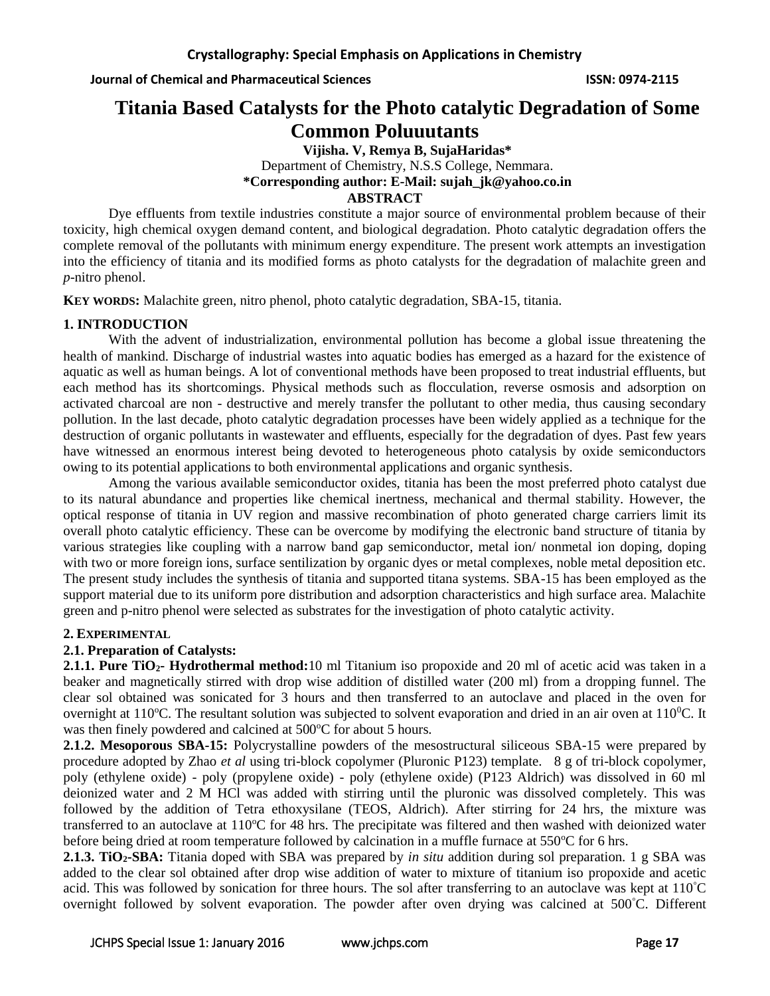# **Titania Based Catalysts for the Photo catalytic Degradation of Some Common Poluuutants**

**Vijisha. V, Remya B, SujaHaridas\*** Department of Chemistry, N.S.S College, Nemmara. **\*Corresponding author: E-Mail: sujah\_jk@yahoo.co.in**

### **ABSTRACT**

Dye effluents from textile industries constitute a major source of environmental problem because of their toxicity, high chemical oxygen demand content, and biological degradation. Photo catalytic degradation offers the complete removal of the pollutants with minimum energy expenditure. The present work attempts an investigation into the efficiency of titania and its modified forms as photo catalysts for the degradation of malachite green and *p*-nitro phenol.

**KEY WORDS:** Malachite green, nitro phenol, photo catalytic degradation, SBA-15, titania.

# **1. INTRODUCTION**

With the advent of industrialization, environmental pollution has become a global issue threatening the health of mankind. Discharge of industrial wastes into aquatic bodies has emerged as a hazard for the existence of aquatic as well as human beings. A lot of conventional methods have been proposed to treat industrial effluents, but each method has its shortcomings. Physical methods such as flocculation, reverse osmosis and adsorption on activated charcoal are non - destructive and merely transfer the pollutant to other media, thus causing secondary pollution. In the last decade, photo catalytic degradation processes have been widely applied as a technique for the destruction of organic pollutants in wastewater and effluents, especially for the degradation of dyes. Past few years have witnessed an enormous interest being devoted to heterogeneous photo catalysis by oxide semiconductors owing to its potential applications to both environmental applications and organic synthesis.

Among the various available semiconductor oxides, titania has been the most preferred photo catalyst due to its natural abundance and properties like chemical inertness, mechanical and thermal stability. However, the optical response of titania in UV region and massive recombination of photo generated charge carriers limit its overall photo catalytic efficiency. These can be overcome by modifying the electronic band structure of titania by various strategies like coupling with a narrow band gap semiconductor, metal ion/ nonmetal ion doping, doping with two or more foreign ions, surface sentilization by organic dyes or metal complexes, noble metal deposition etc. The present study includes the synthesis of titania and supported titana systems. SBA-15 has been employed as the support material due to its uniform pore distribution and adsorption characteristics and high surface area. Malachite green and p-nitro phenol were selected as substrates for the investigation of photo catalytic activity.

### **2. EXPERIMENTAL**

# **2.1. Preparation of Catalysts:**

**2.1.1. Pure TiO2- Hydrothermal method:**10 ml Titanium iso propoxide and 20 ml of acetic acid was taken in a beaker and magnetically stirred with drop wise addition of distilled water (200 ml) from a dropping funnel. The clear sol obtained was sonicated for 3 hours and then transferred to an autoclave and placed in the oven for overnight at  $110^{\circ}$ C. The resultant solution was subjected to solvent evaporation and dried in an air oven at  $110^{\circ}$ C. It was then finely powdered and calcined at 500 °C for about 5 hours.

**2.1.2. Mesoporous SBA-15:** Polycrystalline powders of the mesostructural siliceous SBA-15 were prepared by procedure adopted by Zhao *et al* using tri-block copolymer (Pluronic P123) template. 8 g of tri-block copolymer, poly (ethylene oxide) - poly (propylene oxide) - poly (ethylene oxide) (P123 Aldrich) was dissolved in 60 ml deionized water and 2 M HCl was added with stirring until the pluronic was dissolved completely. This was followed by the addition of Tetra ethoxysilane (TEOS, Aldrich). After stirring for 24 hrs, the mixture was transferred to an autoclave at 110°C for 48 hrs. The precipitate was filtered and then washed with deionized water before being dried at room temperature followed by calcination in a muffle furnace at  $550^{\circ}$ C for 6 hrs.

**2.1.3. TiO2-SBA:** Titania doped with SBA was prepared by *in situ* addition during sol preparation. 1 g SBA was added to the clear sol obtained after drop wise addition of water to mixture of titanium iso propoxide and acetic acid. This was followed by sonication for three hours. The sol after transferring to an autoclave was kept at 110°C overnight followed by solvent evaporation. The powder after oven drying was calcined at 500°C. Different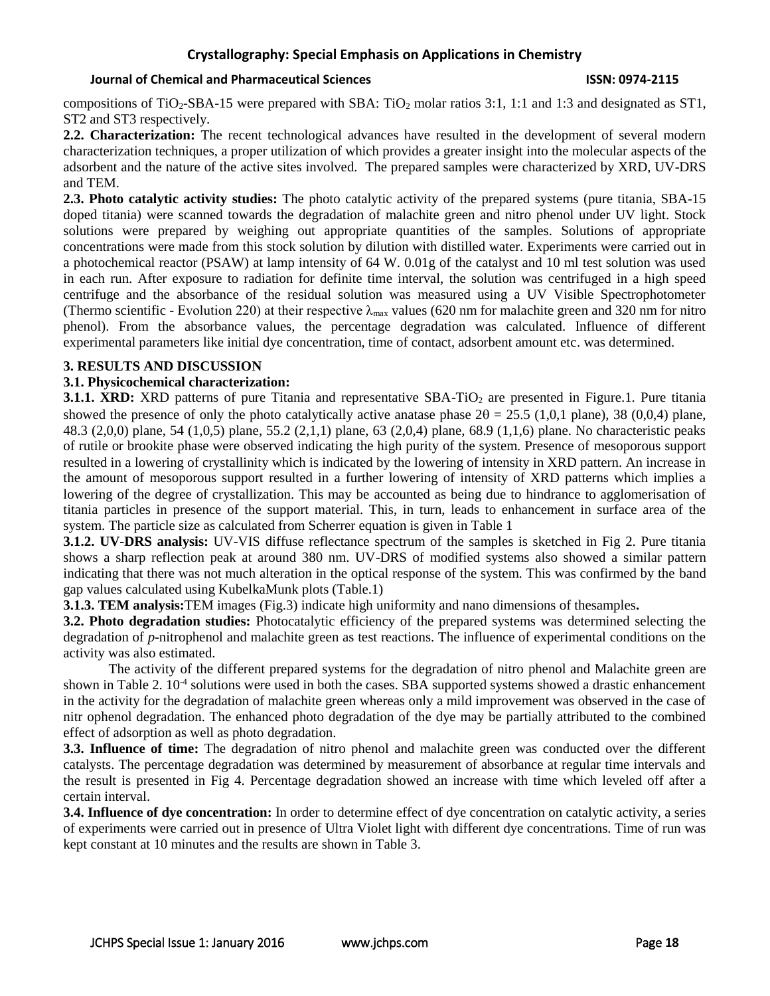# **Crystallography: Special Emphasis on Applications in Chemistry**

#### **Journal of Chemical and Pharmaceutical Sciences ISSN: 0974-2115**

compositions of TiO<sub>2</sub>-SBA-15 were prepared with SBA: TiO<sub>2</sub> molar ratios 3:1, 1:1 and 1:3 and designated as ST1, ST2 and ST3 respectively.

**2.2. Characterization:** The recent technological advances have resulted in the development of several modern characterization techniques, a proper utilization of which provides a greater insight into the molecular aspects of the adsorbent and the nature of the active sites involved. The prepared samples were characterized by XRD, UV-DRS and TEM.

**2.3. Photo catalytic activity studies:** The photo catalytic activity of the prepared systems (pure titania, SBA-15 doped titania) were scanned towards the degradation of malachite green and nitro phenol under UV light. Stock solutions were prepared by weighing out appropriate quantities of the samples. Solutions of appropriate concentrations were made from this stock solution by dilution with distilled water. Experiments were carried out in a photochemical reactor (PSAW) at lamp intensity of 64 W. 0.01g of the catalyst and 10 ml test solution was used in each run. After exposure to radiation for definite time interval, the solution was centrifuged in a high speed centrifuge and the absorbance of the residual solution was measured using a UV Visible Spectrophotometer (Thermo scientific - Evolution 220) at their respective  $\lambda_{\text{max}}$  values (620 nm for malachite green and 320 nm for nitro phenol). From the absorbance values, the percentage degradation was calculated. Influence of different experimental parameters like initial dye concentration, time of contact, adsorbent amount etc. was determined.

#### **3. RESULTS AND DISCUSSION**

#### **3.1. Physicochemical characterization:**

**3.1.1. XRD:** XRD patterns of pure Titania and representative SBA-TiO<sub>2</sub> are presented in Figure.1. Pure titania showed the presence of only the photo catalytically active anatase phase  $2\theta = 25.5$  (1,0,1 plane), 38 (0,0,4) plane, 48.3 (2,0,0) plane, 54 (1,0,5) plane, 55.2 (2,1,1) plane, 63 (2,0,4) plane, 68.9 (1,1,6) plane. No characteristic peaks of rutile or brookite phase were observed indicating the high purity of the system. Presence of mesoporous support resulted in a lowering of crystallinity which is indicated by the lowering of intensity in XRD pattern. An increase in the amount of mesoporous support resulted in a further lowering of intensity of XRD patterns which implies a lowering of the degree of crystallization. This may be accounted as being due to hindrance to agglomerisation of titania particles in presence of the support material. This, in turn, leads to enhancement in surface area of the system. The particle size as calculated from Scherrer equation is given in Table 1

**3.1.2. UV-DRS analysis:** UV-VIS diffuse reflectance spectrum of the samples is sketched in Fig 2. Pure titania shows a sharp reflection peak at around 380 nm. UV-DRS of modified systems also showed a similar pattern indicating that there was not much alteration in the optical response of the system. This was confirmed by the band gap values calculated using KubelkaMunk plots (Table.1)

**3.1.3. TEM analysis:**TEM images (Fig.3) indicate high uniformity and nano dimensions of thesamples**.** 

**3.2. Photo degradation studies:** Photocatalytic efficiency of the prepared systems was determined selecting the degradation of *p*-nitrophenol and malachite green as test reactions. The influence of experimental conditions on the activity was also estimated.

The activity of the different prepared systems for the degradation of nitro phenol and Malachite green are shown in Table 2. 10<sup>-4</sup> solutions were used in both the cases. SBA supported systems showed a drastic enhancement in the activity for the degradation of malachite green whereas only a mild improvement was observed in the case of nitr ophenol degradation. The enhanced photo degradation of the dye may be partially attributed to the combined effect of adsorption as well as photo degradation.

**3.3. Influence of time:** The degradation of nitro phenol and malachite green was conducted over the different catalysts. The percentage degradation was determined by measurement of absorbance at regular time intervals and the result is presented in Fig 4. Percentage degradation showed an increase with time which leveled off after a certain interval.

**3.4. Influence of dye concentration:** In order to determine effect of dye concentration on catalytic activity, a series of experiments were carried out in presence of Ultra Violet light with different dye concentrations. Time of run was kept constant at 10 minutes and the results are shown in Table 3.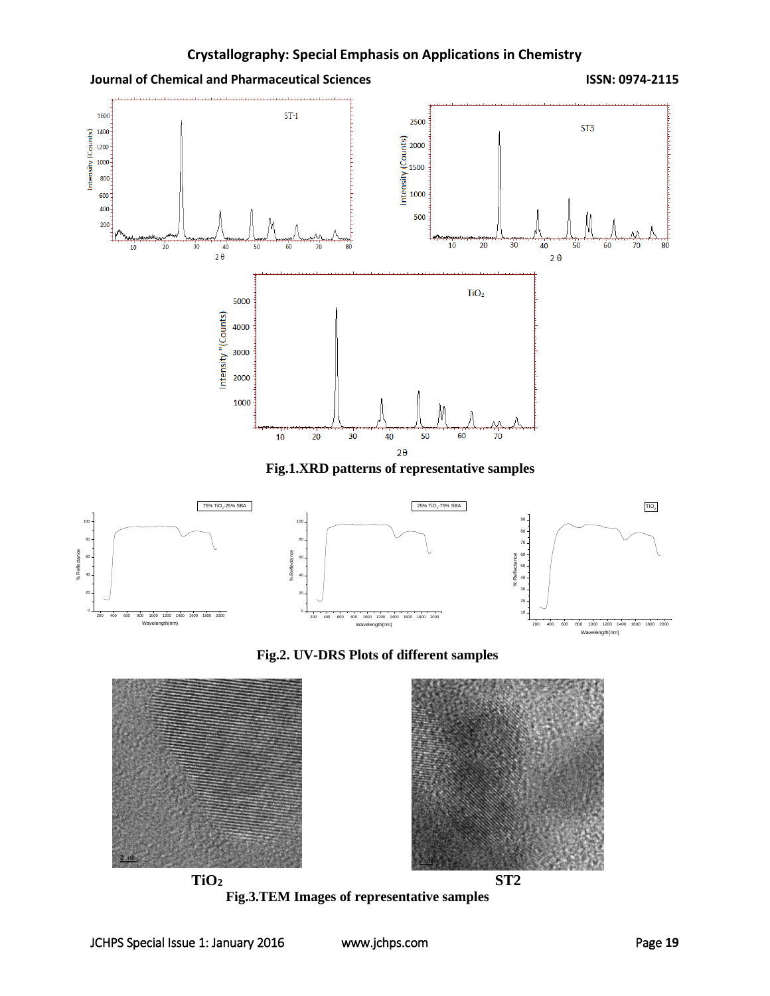

**Fig.1.XRD patterns of representative samples**



**Fig.2. UV-DRS Plots of different samples**



**Fig.3.TEM Images of representative samples**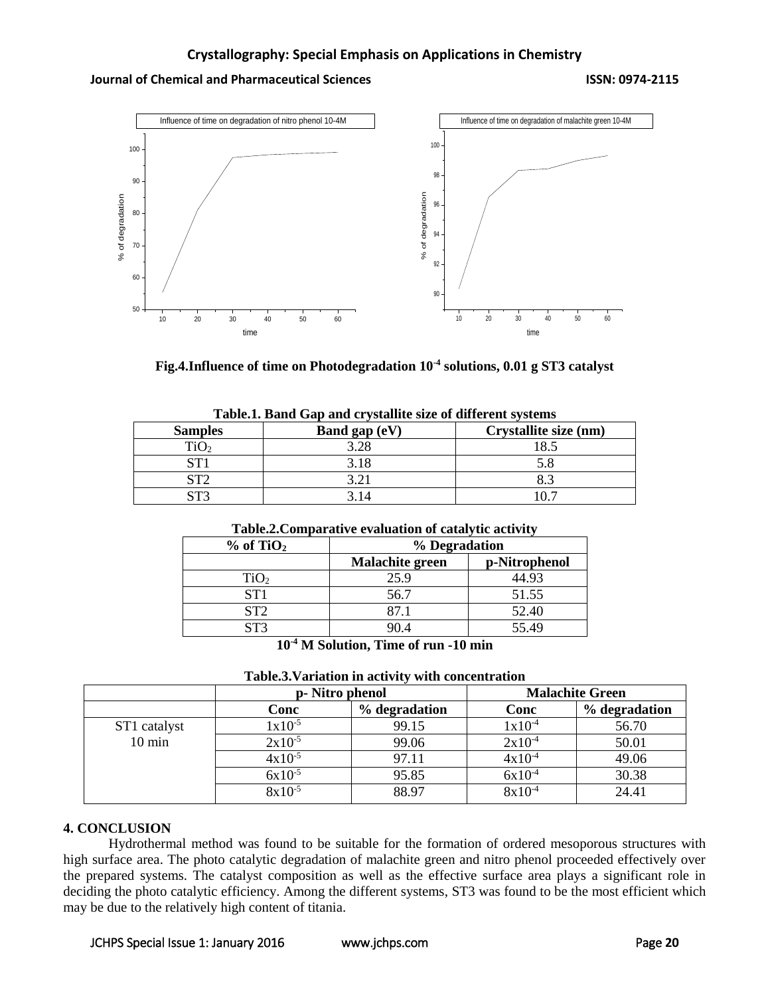# **Journal of Chemical and Pharmaceutical Sciences ISSN: 0974-2115**



| Fig.4.Influence of time on Photodegradation $10^{\text{-}4}$ solutions, $0.01$ g ST3 catalyst |  |  |
|-----------------------------------------------------------------------------------------------|--|--|
|                                                                                               |  |  |

| Tabic.I. Danu Gap and erystamic size of unferent systems |               |                       |  |
|----------------------------------------------------------|---------------|-----------------------|--|
| <b>Samples</b>                                           | Band gap (eV) | Crystallite size (nm) |  |
|                                                          | 3.28          |                       |  |
|                                                          | 3.18          |                       |  |
| ST2                                                      | ? ? 1         |                       |  |
| стз                                                      |               |                       |  |

|  |  | Table.1. Band Gap and crystallite size of different systems |  |  |
|--|--|-------------------------------------------------------------|--|--|
|--|--|-------------------------------------------------------------|--|--|

#### **Table.2.Comparative evaluation of catalytic activity**

| $%$ of TiO <sub>2</sub>                                      | % Degradation          |               |  |  |
|--------------------------------------------------------------|------------------------|---------------|--|--|
|                                                              | <b>Malachite green</b> | p-Nitrophenol |  |  |
| TiO <sub>2</sub>                                             | 25.9                   | 44.93         |  |  |
| ST <sub>1</sub>                                              | 56.7                   | 51.55         |  |  |
| ST2                                                          | 87.1                   | 52.40         |  |  |
| ST3                                                          | 90.4                   | 55.49         |  |  |
| 40.438011<br>rm.<br>$\bullet$<br>$\triangleleft$ $\triangle$ |                        |               |  |  |

**10-4 M Solution, Time of run -10 min**

| Tubicioi i affattion in activity with concentration |             |                 |             |                        |  |
|-----------------------------------------------------|-------------|-----------------|-------------|------------------------|--|
|                                                     |             | p- Nitro phenol |             | <b>Malachite Green</b> |  |
|                                                     | Conc        | % degradation   | Conc        | % degradation          |  |
| ST1 catalyst                                        | $1x10^{-5}$ | 99.15           | $1x10^{-4}$ | 56.70                  |  |
| $10 \text{ min}$                                    | $2x10^{-5}$ | 99.06           | $2x10^{-4}$ | 50.01                  |  |
|                                                     | $4x10^{-5}$ | 97.11           | $4x10^{-4}$ | 49.06                  |  |
|                                                     | $6x10^{-5}$ | 95.85           | $6x10^{-4}$ | 30.38                  |  |

 $8x10^{-5}$  88.97 8x10<sup>-4</sup> 24.41

# **Table.3.Variation in activity with concentration**

#### **4. CONCLUSION**

Hydrothermal method was found to be suitable for the formation of ordered mesoporous structures with high surface area. The photo catalytic degradation of malachite green and nitro phenol proceeded effectively over the prepared systems. The catalyst composition as well as the effective surface area plays a significant role in deciding the photo catalytic efficiency. Among the different systems, ST3 was found to be the most efficient which may be due to the relatively high content of titania.